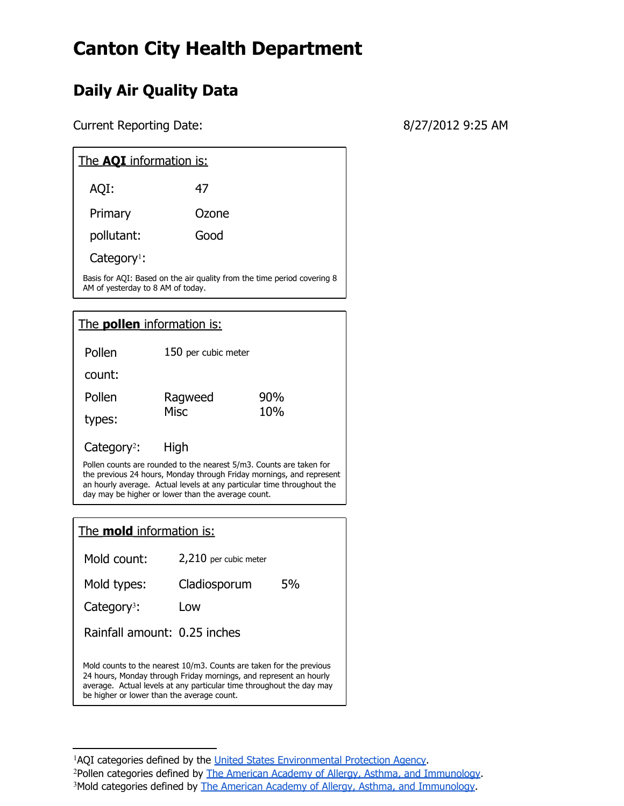## **Canton City Health Department**

## **Daily Air Quality Data**

Current Reporting Date: 8/27/2012 9:25 AM

| The <b>AOI</b> information is:                                                                               |       |  |
|--------------------------------------------------------------------------------------------------------------|-------|--|
| AQI:                                                                                                         | 47    |  |
| Primary                                                                                                      | Ozone |  |
| pollutant:                                                                                                   | Good  |  |
| Category <sup>1</sup> :                                                                                      |       |  |
| Basis for AQI: Based on the air quality from the time period covering 8<br>AM of yesterday to 8 AM of today. |       |  |

The **pollen** information is: Pollen count: 150 per cubic meter Pollen types: Ragweed Misc 90% 10%

Category<sup>2</sup>: : High Pollen counts are rounded to the nearest 5/m3. Counts are taken for the previous 24 hours, Monday through Friday mornings, and represent an hourly average. Actual levels at any particular time throughout the day may be higher or lower than the average count.

| The <b>mold</b> information is:                                                                                                                                                                                                                                |                       |    |
|----------------------------------------------------------------------------------------------------------------------------------------------------------------------------------------------------------------------------------------------------------------|-----------------------|----|
| Mold count:                                                                                                                                                                                                                                                    | 2,210 per cubic meter |    |
| Mold types:                                                                                                                                                                                                                                                    | Cladiosporum          | 5% |
| Category <sup>3</sup> :                                                                                                                                                                                                                                        | Low                   |    |
| Rainfall amount: 0.25 inches                                                                                                                                                                                                                                   |                       |    |
| Mold counts to the nearest 10/m3. Counts are taken for the previous<br>24 hours, Monday through Friday mornings, and represent an hourly<br>average. Actual levels at any particular time throughout the day may<br>be higher or lower than the average count. |                       |    |

<sup>1</sup>AQI categories defined by the [United](http://www.epa.gov/o3healthtraining/aqi.html#what) [States](http://www.epa.gov/o3healthtraining/aqi.html#what) [Environmental](http://www.epa.gov/o3healthtraining/aqi.html#what) [Protection](http://www.epa.gov/o3healthtraining/aqi.html#what) [Agency](http://www.epa.gov/o3healthtraining/aqi.html#what). <sup>2</sup>Pollen categories defined by [The](http://www.aaaai.org/global/nab-pollen-counts/reading-the-charts.aspx) [American](http://www.aaaai.org/global/nab-pollen-counts/reading-the-charts.aspx) [Academy](http://www.aaaai.org/global/nab-pollen-counts/reading-the-charts.aspx) [of](http://www.aaaai.org/global/nab-pollen-counts/reading-the-charts.aspx) [Allergy, Asthma, and](http://www.aaaai.org/global/nab-pollen-counts/reading-the-charts.aspx) [Immunology.](http://www.aaaai.org/global/nab-pollen-counts/reading-the-charts.aspx) <sup>3</sup>Mold categories defined by [The](http://www.aaaai.org/global/nab-pollen-counts/reading-the-charts.aspx) [American](http://www.aaaai.org/global/nab-pollen-counts/reading-the-charts.aspx) [Academy](http://www.aaaai.org/global/nab-pollen-counts/reading-the-charts.aspx) [of](http://www.aaaai.org/global/nab-pollen-counts/reading-the-charts.aspx) [Allergy, Asthma, and](http://www.aaaai.org/global/nab-pollen-counts/reading-the-charts.aspx) [Immunology](http://www.aaaai.org/global/nab-pollen-counts/reading-the-charts.aspx).